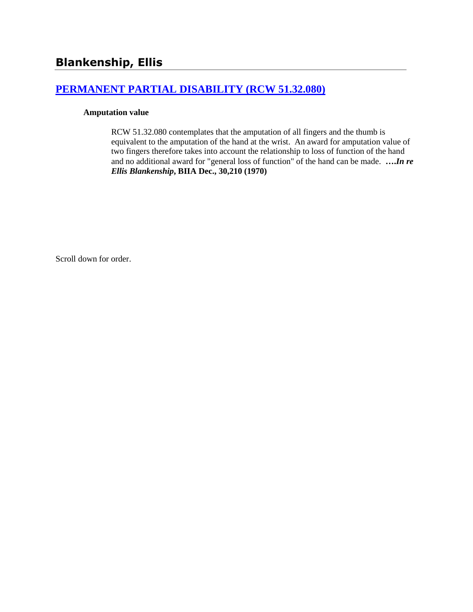# **[PERMANENT PARTIAL DISABILITY \(RCW 51.32.080\)](http://www.biia.wa.gov/SDSubjectIndex.html#PERMANENT_PARTIAL_DISABILITY)**

### **Amputation value**

RCW 51.32.080 contemplates that the amputation of all fingers and the thumb is equivalent to the amputation of the hand at the wrist. An award for amputation value of two fingers therefore takes into account the relationship to loss of function of the hand and no additional award for "general loss of function" of the hand can be made. **….***In re Ellis Blankenship***, BIIA Dec., 30,210 (1970)**

Scroll down for order.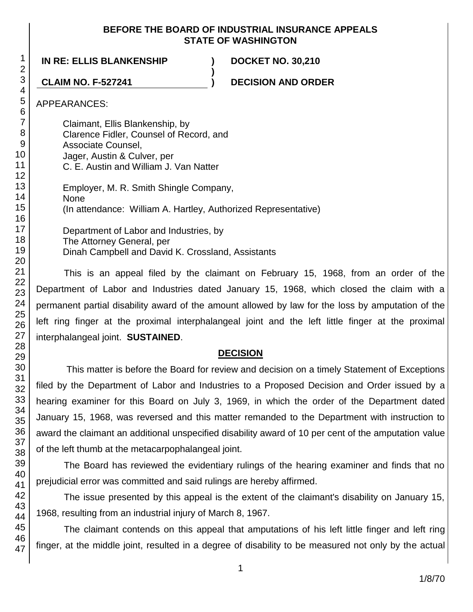### **BEFORE THE BOARD OF INDUSTRIAL INSURANCE APPEALS STATE OF WASHINGTON**

**)**

## **IN RE: ELLIS BLANKENSHIP ) DOCKET NO. 30,210**

**CLAIM NO. F-527241 ) DECISION AND ORDER**

APPEARANCES:

Claimant, Ellis Blankenship, by Clarence Fidler, Counsel of Record, and Associate Counsel, Jager, Austin & Culver, per C. E. Austin and William J. Van Natter Employer, M. R. Smith Shingle Company, None (In attendance: William A. Hartley, Authorized Representative) Department of Labor and Industries, by The Attorney General, per

Dinah Campbell and David K. Crossland, Assistants

This is an appeal filed by the claimant on February 15, 1968, from an order of the Department of Labor and Industries dated January 15, 1968, which closed the claim with a permanent partial disability award of the amount allowed by law for the loss by amputation of the left ring finger at the proximal interphalangeal joint and the left little finger at the proximal interphalangeal joint. **SUSTAINED**.

# **DECISION**

This matter is before the Board for review and decision on a timely Statement of Exceptions filed by the Department of Labor and Industries to a Proposed Decision and Order issued by a hearing examiner for this Board on July 3, 1969, in which the order of the Department dated January 15, 1968, was reversed and this matter remanded to the Department with instruction to award the claimant an additional unspecified disability award of 10 per cent of the amputation value of the left thumb at the metacarpophalangeal joint.

The Board has reviewed the evidentiary rulings of the hearing examiner and finds that no prejudicial error was committed and said rulings are hereby affirmed.

The issue presented by this appeal is the extent of the claimant's disability on January 15, 1968, resulting from an industrial injury of March 8, 1967.

The claimant contends on this appeal that amputations of his left little finger and left ring finger, at the middle joint, resulted in a degree of disability to be measured not only by the actual

1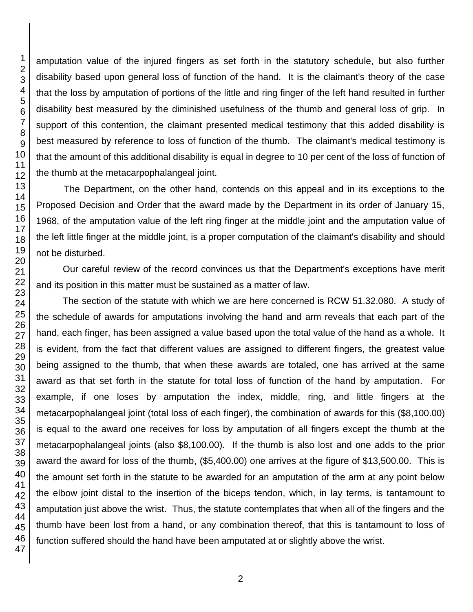amputation value of the injured fingers as set forth in the statutory schedule, but also further disability based upon general loss of function of the hand. It is the claimant's theory of the case that the loss by amputation of portions of the little and ring finger of the left hand resulted in further disability best measured by the diminished usefulness of the thumb and general loss of grip. In support of this contention, the claimant presented medical testimony that this added disability is best measured by reference to loss of function of the thumb. The claimant's medical testimony is that the amount of this additional disability is equal in degree to 10 per cent of the loss of function of the thumb at the metacarpophalangeal joint.

The Department, on the other hand, contends on this appeal and in its exceptions to the Proposed Decision and Order that the award made by the Department in its order of January 15, 1968, of the amputation value of the left ring finger at the middle joint and the amputation value of the left little finger at the middle joint, is a proper computation of the claimant's disability and should not be disturbed.

Our careful review of the record convinces us that the Department's exceptions have merit and its position in this matter must be sustained as a matter of law.

The section of the statute with which we are here concerned is RCW 51.32.080. A study of the schedule of awards for amputations involving the hand and arm reveals that each part of the hand, each finger, has been assigned a value based upon the total value of the hand as a whole. It is evident, from the fact that different values are assigned to different fingers, the greatest value being assigned to the thumb, that when these awards are totaled, one has arrived at the same award as that set forth in the statute for total loss of function of the hand by amputation. For example, if one loses by amputation the index, middle, ring, and little fingers at the metacarpophalangeal joint (total loss of each finger), the combination of awards for this (\$8,100.00) is equal to the award one receives for loss by amputation of all fingers except the thumb at the metacarpophalangeal joints (also \$8,100.00). If the thumb is also lost and one adds to the prior award the award for loss of the thumb, (\$5,400.00) one arrives at the figure of \$13,500.00. This is the amount set forth in the statute to be awarded for an amputation of the arm at any point below the elbow joint distal to the insertion of the biceps tendon, which, in lay terms, is tantamount to amputation just above the wrist. Thus, the statute contemplates that when all of the fingers and the thumb have been lost from a hand, or any combination thereof, that this is tantamount to loss of function suffered should the hand have been amputated at or slightly above the wrist.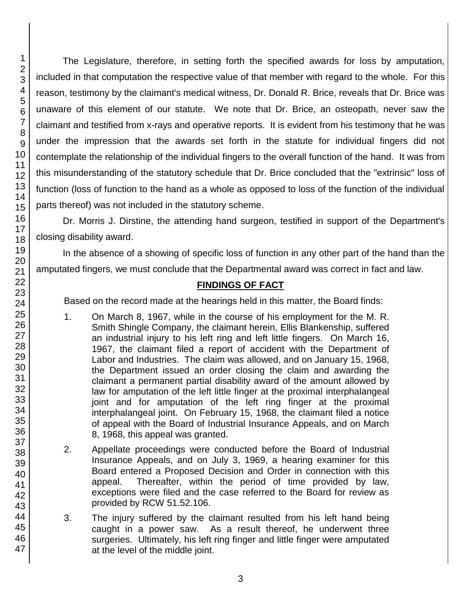46 47

1 2 3

The Legislature, therefore, in setting forth the specified awards for loss by amputation, included in that computation the respective value of that member with regard to the whole. For this reason, testimony by the claimant's medical witness, Dr. Donald R. Brice, reveals that Dr. Brice was unaware of this element of our statute. We note that Dr. Brice, an osteopath, never saw the claimant and testified from x-rays and operative reports. It is evident from his testimony that he was under the impression that the awards set forth in the statute for individual fingers did not contemplate the relationship of the individual fingers to the overall function of the hand. It was from this misunderstanding of the statutory schedule that Dr. Brice concluded that the "extrinsic" loss of function (loss of function to the hand as a whole as opposed to loss of the function of the individual parts thereof) was not included in the statutory scheme.

Dr. Morris J. Dirstine, the attending hand surgeon, testified in support of the Department's closing disability award.

In the absence of a showing of specific loss of function in any other part of the hand than the amputated fingers, we must conclude that the Departmental award was correct in fact and law.

# **FINDINGS OF FACT**

Based on the record made at the hearings held in this matter, the Board finds:

- 1. On March 8, 1967, while in the course of his employment for the M. R. Smith Shingle Company, the claimant herein, Ellis Blankenship, suffered an industrial injury to his left ring and left little fingers. On March 16, 1967, the claimant filed a report of accident with the Department of Labor and Industries. The claim was allowed, and on January 15, 1968, the Department issued an order closing the claim and awarding the claimant a permanent partial disability award of the amount allowed by law for amputation of the left little finger at the proximal interphalangeal joint and for amputation of the left ring finger at the proximal interphalangeal joint. On February 15, 1968, the claimant filed a notice of appeal with the Board of Industrial Insurance Appeals, and on March 8, 1968, this appeal was granted.
- 2. Appellate proceedings were conducted before the Board of Industrial Insurance Appeals, and on July 3, 1969, a hearing examiner for this Board entered a Proposed Decision and Order in connection with this appeal. Thereafter, within the period of time provided by law, exceptions were filed and the case referred to the Board for review as provided by RCW 51.52.106.
- 3. The injury suffered by the claimant resulted from his left hand being caught in a power saw. As a result thereof, he underwent three surgeries. Ultimately, his left ring finger and little finger were amputated at the level of the middle joint.